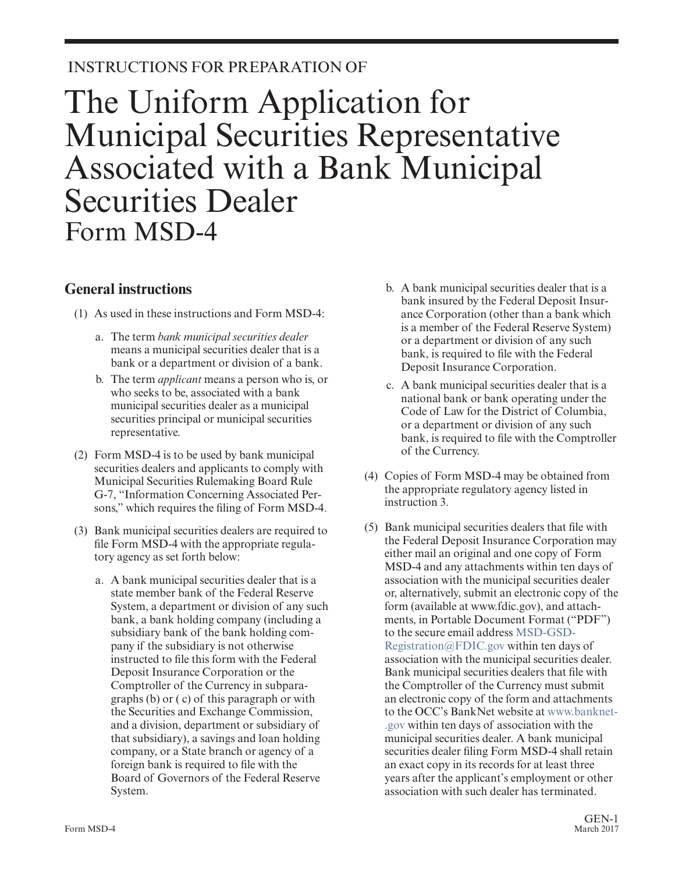## INSTRUCTIONS FOR PREPARATION OF

# The Uniform Application for Municipal Securities Representative Associated with a Bank Municipal Securities Dealer Form MSD-4

### **General instructions**

- (1) As used in these instructions and Form MSD-4:
	- a. The term *bank municipal securities dealer* means a municipal securities dealer that is a bank or a department or division of a bank.
	- b. The term *applicant* means a person who is, or who seeks to be, associated with a bank municipal securities dealer as a municipal securities principal or municipal securities representative.
- (2) Form MSD-4 is to be used by bank municipal securities dealers and applicants to comply with Municipal Securities Rulemaking Board Rule G-7, "Information Concerning Associated Persons," which requires the filing of Form MSD-4.
- (3) Bank municipal securities dealers are required to file Form MSD-4 with the appropriate regulatory agency as set forth below:
	- a. A bank municipal securities dealer that is a state member bank of the Federal Reserve System, a department or division of any such bank, a bank holding company (including a subsidiary bank of the bank holding company if the subsidiary is not otherwise instructed to file this form with the Federal Deposit Insurance Corporation or the Comptroller of the Currency in subparagraphs (b) or ( c) of this paragraph or with the Securities and Exchange Commission, and a division, department or subsidiary of that subsidiary), a savings and loan holding company, or a State branch or agency of a foreign bank is required to file with the Board of Governors of the Federal Reserve System.
- b. A bank municipal securities dealer that is a bank insured by the Federal Deposit Insurance Corporation (other than a bank which is a member of the Federal Reserve System) or a department or division of any such bank, is required to file with the Federal Deposit Insurance Corporation.
- c. A bank municipal securities dealer that is a national bank or bank operating under the Code of Law for the District of Columbia, or a department or division of any such bank, is required to file with the Comptroller of the Currency.
- (4) Copies of Form MSD-4 may be obtained from the appropriate regulatory agency listed in instruction 3.
- (5) Bank municipal securities dealers that file with the Federal Deposit Insurance Corporation may either mail an original and one copy of Form MSD-4 and any attachments within ten days of association with the municipal securities dealer or, alternatively, submit an electronic copy of the form (available at www.fdic.gov), and attachments, in Portable Document Format ("PDF") to the secure email address [MSD-GSD-](mailto:MSD-GSD-Registration@FDIC.gov)[Registration@FDIC.gov](mailto:MSD-GSD-Registration@FDIC.gov) within ten days of association with the municipal securities dealer. Bank municipal securities dealers that file with the Comptroller of the Currency must submit an electronic copy of the form and attachments to the OCC's BankNet website at [www.banknet-](http://www.banknet.gov/) [.gov](http://www.banknet.gov/) within ten days of association with the municipal securities dealer. A bank municipal securities dealer filing Form MSD-4 shall retain an exact copy in its records for at least three years after the applicant's employment or other association with such dealer has terminated.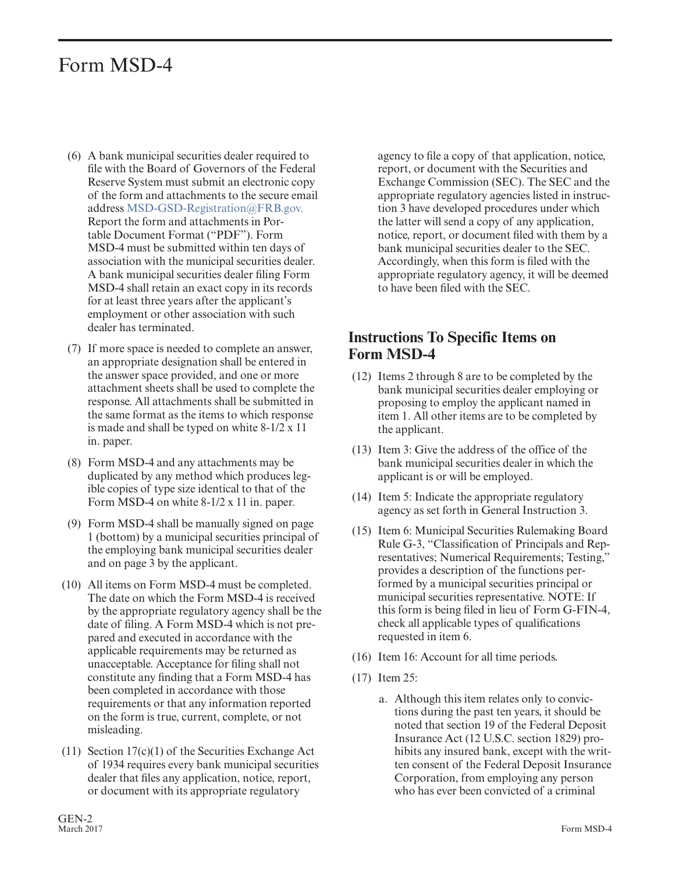## Form MSD-4

- (6) A bank municipal securities dealer required to file with the Board of Governors of the Federal Reserve System must submit an electronic copy of the form and attachments to the secure email address [MSD-GSD-Registration@FRB.gov.](mailto:MSD-GSD-Registration@FRB.gov) Report the form and attachments in Portable Document Format ("PDF"). Form MSD-4 must be submitted within ten days of association with the municipal securities dealer. A bank municipal securities dealer filing Form MSD-4 shall retain an exact copy in its records for at least three years after the applicant's employment or other association with such dealer has terminated.
- (7) If more space is needed to complete an answer, an appropriate designation shall be entered in the answer space provided, and one or more attachment sheets shall be used to complete the response. All attachments shall be submitted in the same format as the items to which response is made and shall be typed on white 8-1/2 x 11 in. paper.
- (8) Form MSD-4 and any attachments may be duplicated by any method which produces legible copies of type size identical to that of the Form MSD-4 on white 8-1/2 x 11 in. paper.
- (9) Form MSD-4 shall be manually signed on page 1 (bottom) by a municipal securities principal of the employing bank municipal securities dealer and on page 3 by the applicant.
- (10) All items on Form MSD-4 must be completed. The date on which the Form MSD-4 is received by the appropriate regulatory agency shall be the date of filing. A Form MSD-4 which is not prepared and executed in accordance with the applicable requirements may be returned as unacceptable. Acceptance for filing shall not constitute any finding that a Form MSD-4 has been completed in accordance with those requirements or that any information reported on the form is true, current, complete, or not misleading.
- (11) Section 17(c)(1) of the Securities Exchange Act of 1934 requires every bank municipal securities dealer that files any application, notice, report, or document with its appropriate regulatory

agency to file a copy of that application, notice, report, or document with the Securities and Exchange Commission (SEC). The SEC and the appropriate regulatory agencies listed in instruction 3 have developed procedures under which the latter will send a copy of any application, notice, report, or document filed with them by a bank municipal securities dealer to the SEC. Accordingly, when this form is filed with the appropriate regulatory agency, it will be deemed to have been filed with the SEC.

#### **Instructions To Specific Items on Form MSD-4**

- (12) Items 2 through 8 are to be completed by the bank municipal securities dealer employing or proposing to employ the applicant named in item 1. All other items are to be completed by the applicant.
- (13) Item 3: Give the address of the office of the bank municipal securities dealer in which the applicant is or will be employed.
- (14) Item 5: Indicate the appropriate regulatory agency as set forth in General Instruction 3.
- (15) Item 6: Municipal Securities Rulemaking Board Rule G-3, "Classification of Principals and Representatives; Numerical Requirements; Testing," provides a description of the functions performed by a municipal securities principal or municipal securities representative. NOTE: If this form is being filed in lieu of Form G-FIN-4, check all applicable types of qualifications requested in item 6.
- (16) Item 16: Account for all time periods.
- (17) Item 25:
	- a. Although this item relates only to convictions during the past ten years, it should be noted that section 19 of the Federal Deposit Insurance Act (12 U.S.C. section 1829) prohibits any insured bank, except with the written consent of the Federal Deposit Insurance Corporation, from employing any person who has ever been convicted of a criminal